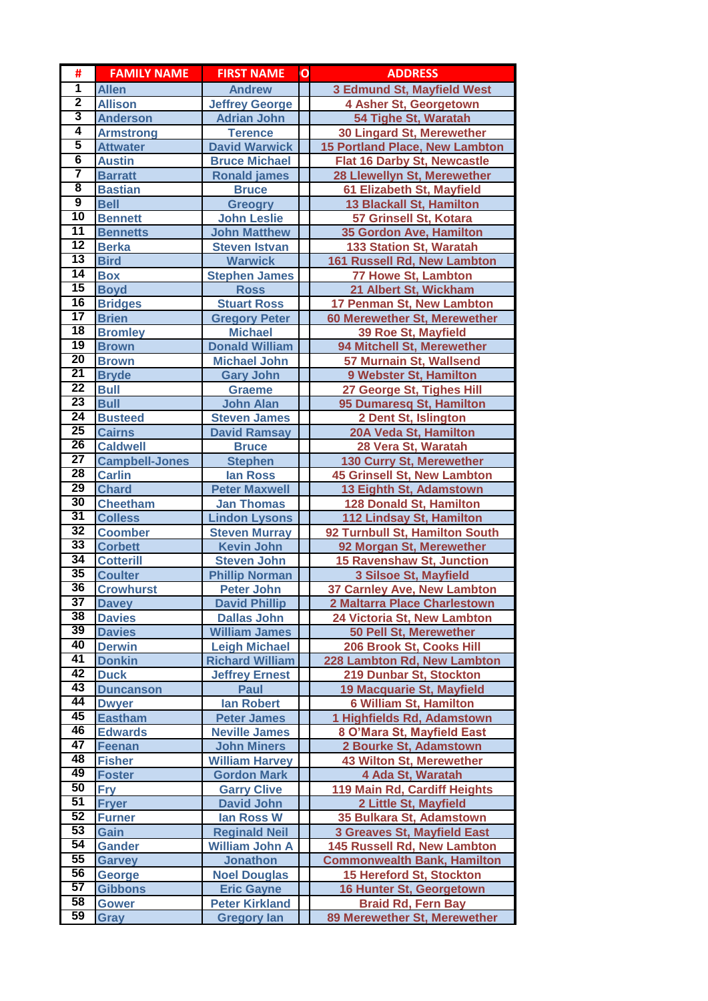| #                       | <b>FAMILY NAME</b>                | <b>FIRST NAME</b>                         | $\overline{O}$ | <b>ADDRESS</b>                                             |
|-------------------------|-----------------------------------|-------------------------------------------|----------------|------------------------------------------------------------|
| $\overline{1}$          | <b>Allen</b>                      | <b>Andrew</b>                             |                | 3 Edmund St, Mayfield West                                 |
| $\overline{\mathbf{2}}$ | <b>Allison</b>                    | <b>Jeffrey George</b>                     |                | 4 Asher St, Georgetown                                     |
| 3                       | <b>Anderson</b>                   | <b>Adrian John</b>                        |                | 54 Tighe St, Waratah                                       |
| 4                       | <b>Armstrong</b>                  | <b>Terence</b>                            |                | 30 Lingard St, Merewether                                  |
| 5                       | <b>Attwater</b>                   | <b>David Warwick</b>                      |                | <b>15 Portland Place, New Lambton</b>                      |
| $\overline{6}$          | <b>Austin</b>                     | <b>Bruce Michael</b>                      |                | <b>Flat 16 Darby St, Newcastle</b>                         |
| 7                       | <b>Barratt</b>                    | <b>Ronald james</b>                       |                | 28 Llewellyn St, Merewether                                |
| 8                       | <b>Bastian</b>                    | <b>Bruce</b>                              |                | 61 Elizabeth St, Mayfield                                  |
| $\overline{9}$          | <b>Bell</b>                       | <b>Greogry</b>                            |                | 13 Blackall St, Hamilton                                   |
| $\overline{10}$         | <b>Bennett</b>                    | <b>John Leslie</b>                        |                | 57 Grinsell St, Kotara                                     |
| $\overline{11}$         | <b>Bennetts</b>                   | <b>John Matthew</b>                       |                | 35 Gordon Ave, Hamilton                                    |
| 12                      | <b>Berka</b>                      | <b>Steven Istvan</b>                      |                | 133 Station St, Waratah                                    |
| $\overline{13}$         | <b>Bird</b>                       | <b>Warwick</b>                            |                | 161 Russell Rd, New Lambton                                |
| 14                      | <b>Box</b>                        | <b>Stephen James</b>                      |                | 77 Howe St, Lambton                                        |
| 15                      | <b>Boyd</b>                       | <b>Ross</b>                               |                | 21 Albert St, Wickham                                      |
| 16                      | <b>Bridges</b>                    | <b>Stuart Ross</b>                        |                | 17 Penman St, New Lambton                                  |
| 17                      | <b>Brien</b>                      | <b>Gregory Peter</b>                      |                | 60 Merewether St, Merewether                               |
| $\overline{18}$         | <b>Bromley</b>                    | <b>Michael</b>                            |                | 39 Roe St, Mayfield                                        |
| 19                      | <b>Brown</b>                      | <b>Donald William</b>                     |                | 94 Mitchell St, Merewether                                 |
| 20                      | <b>Brown</b>                      | <b>Michael John</b>                       |                | 57 Murnain St, Wallsend                                    |
| $\overline{21}$         | <b>Bryde</b>                      | <b>Gary John</b>                          |                | 9 Webster St, Hamilton                                     |
| $\overline{22}$         | <b>Bull</b>                       | <b>Graeme</b>                             |                | 27 George St, Tighes Hill                                  |
| 23                      | <b>Bull</b>                       | <b>John Alan</b>                          |                | 95 Dumaresq St, Hamilton                                   |
| 24                      | <b>Busteed</b>                    | <b>Steven James</b>                       |                | 2 Dent St, Islington                                       |
| 25                      | <b>Cairns</b>                     | <b>David Ramsay</b>                       |                | 20A Veda St, Hamilton                                      |
| 26<br>$\overline{27}$   | <b>Caldwell</b>                   | <b>Bruce</b>                              |                | 28 Vera St, Waratah                                        |
| 28                      | <b>Campbell-Jones</b>             | <b>Stephen</b>                            |                | <b>130 Curry St, Merewether</b>                            |
| $\overline{29}$         | <b>Carlin</b>                     | lan Ross                                  |                | <b>45 Grinsell St, New Lambton</b>                         |
| 30                      | <b>Chard</b>                      | <b>Peter Maxwell</b>                      |                | 13 Eighth St, Adamstown                                    |
| 31                      | <b>Cheetham</b><br><b>Colless</b> | <b>Jan Thomas</b>                         |                | <b>128 Donald St, Hamilton</b>                             |
| 32                      | <b>Coomber</b>                    | <b>Lindon Lysons</b>                      |                | 112 Lindsay St, Hamilton                                   |
| 33                      | <b>Corbett</b>                    | <b>Steven Murray</b><br><b>Kevin John</b> |                | 92 Turnbull St, Hamilton South<br>92 Morgan St, Merewether |
| 34                      | <b>Cotterill</b>                  | <b>Steven John</b>                        |                | <b>15 Ravenshaw St, Junction</b>                           |
| 35                      | <b>Coulter</b>                    | <b>Phillip Norman</b>                     |                | 3 Silsoe St, Mayfield                                      |
| $\overline{36}$         | <b>Crowhurst</b>                  | <b>Peter John</b>                         |                | 37 Carnley Ave, New Lambton                                |
| $\overline{37}$         | <b>Davey</b>                      | <b>David Phillip</b>                      |                | 2 Maltarra Place Charlestown                               |
| 38                      | <b>Davies</b>                     | <b>Dallas John</b>                        |                | 24 Victoria St, New Lambton                                |
| 39                      | <b>Davies</b>                     | <b>William James</b>                      |                | 50 Pell St, Merewether                                     |
| 40                      | <b>Derwin</b>                     | <b>Leigh Michael</b>                      |                | 206 Brook St, Cooks Hill                                   |
| 41                      | <b>Donkin</b>                     | <b>Richard William</b>                    |                | 228 Lambton Rd, New Lambton                                |
| 42                      | <b>Duck</b>                       | <b>Jeffrey Ernest</b>                     |                | 219 Dunbar St, Stockton                                    |
| 43                      | <b>Duncanson</b>                  | Paul                                      |                | 19 Macquarie St, Mayfield                                  |
| 44                      | <b>Dwyer</b>                      | <b>lan Robert</b>                         |                | <b>6 William St, Hamilton</b>                              |
| 45                      | <b>Eastham</b>                    | <b>Peter James</b>                        |                | 1 Highfields Rd, Adamstown                                 |
| 46                      | <b>Edwards</b>                    | <b>Neville James</b>                      |                | 8 O'Mara St, Mayfield East                                 |
| 47                      | <b>Feenan</b>                     | <b>John Miners</b>                        |                | 2 Bourke St, Adamstown                                     |
| 48                      | <b>Fisher</b>                     | <b>William Harvey</b>                     |                | 43 Wilton St, Merewether                                   |
| 49                      | <b>Foster</b>                     | <b>Gordon Mark</b>                        |                | 4 Ada St, Waratah                                          |
| 50                      | <b>Fry</b>                        | <b>Garry Clive</b>                        |                | 119 Main Rd, Cardiff Heights                               |
| 51                      | <b>Fryer</b>                      | <b>David John</b>                         |                | 2 Little St, Mayfield                                      |
| 52                      | <b>Furner</b>                     | lan Ross W                                |                | 35 Bulkara St, Adamstown                                   |
| 53                      | Gain                              | <b>Reginald Neil</b>                      |                | 3 Greaves St, Mayfield East                                |
| 54                      | <b>Gander</b>                     | <b>William John A</b>                     |                | 145 Russell Rd, New Lambton                                |
| 55                      | <b>Garvey</b>                     | <b>Jonathon</b>                           |                | <b>Commonwealth Bank, Hamilton</b>                         |
| 56                      | George                            | <b>Noel Douglas</b>                       |                | 15 Hereford St, Stockton                                   |
| 57                      | <b>Gibbons</b>                    | <b>Eric Gayne</b>                         |                | 16 Hunter St, Georgetown                                   |
| 58                      | <b>Gower</b>                      | <b>Peter Kirkland</b>                     |                | <b>Braid Rd, Fern Bay</b>                                  |
| 59                      | Gray                              | <b>Gregory lan</b>                        |                | 89 Merewether St, Merewether                               |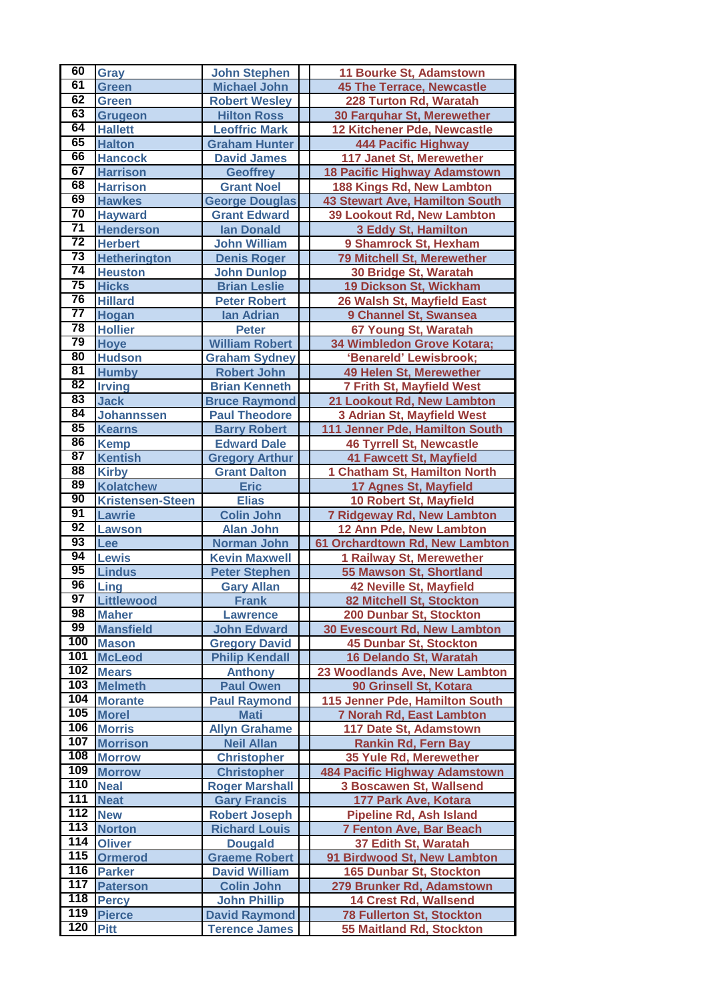| 60              | Gray                    | <b>John Stephen</b>   | <b>11 Bourke St, Adamstown</b>        |
|-----------------|-------------------------|-----------------------|---------------------------------------|
| 61              | Green                   | <b>Michael John</b>   | <b>45 The Terrace, Newcastle</b>      |
| 62              | <b>Green</b>            | <b>Robert Wesley</b>  | 228 Turton Rd, Waratah                |
| 63              | <b>Grugeon</b>          | <b>Hilton Ross</b>    | 30 Farquhar St, Merewether            |
| 64              | <b>Hallett</b>          | <b>Leoffric Mark</b>  | 12 Kitchener Pde, Newcastle           |
| 65              | <b>Halton</b>           | <b>Graham Hunter</b>  | <b>444 Pacific Highway</b>            |
| 66              | <b>Hancock</b>          | <b>David James</b>    | 117 Janet St, Merewether              |
| 67              | <b>Harrison</b>         | <b>Geoffrey</b>       | <b>18 Pacific Highway Adamstown</b>   |
| 68              | <b>Harrison</b>         | <b>Grant Noel</b>     | 188 Kings Rd, New Lambton             |
| 69              | <b>Hawkes</b>           | <b>George Douglas</b> | <b>43 Stewart Ave, Hamilton South</b> |
| 70              | <b>Hayward</b>          | <b>Grant Edward</b>   | 39 Lookout Rd, New Lambton            |
| $\overline{71}$ | <b>Henderson</b>        | <b>lan Donald</b>     | 3 Eddy St, Hamilton                   |
| $\overline{72}$ | <b>Herbert</b>          | <b>John William</b>   | 9 Shamrock St, Hexham                 |
| 73              | <b>Hetherington</b>     | <b>Denis Roger</b>    | <b>79 Mitchell St, Merewether</b>     |
| 74              | <b>Heuston</b>          | <b>John Dunlop</b>    | 30 Bridge St, Waratah                 |
| 75              | <b>Hicks</b>            | <b>Brian Leslie</b>   | 19 Dickson St, Wickham                |
| 76              | <b>Hillard</b>          | <b>Peter Robert</b>   | 26 Walsh St, Mayfield East            |
| $\overline{77}$ | Hogan                   | <b>lan Adrian</b>     | 9 Channel St, Swansea                 |
| 78              | <b>Hollier</b>          | <b>Peter</b>          | 67 Young St, Waratah                  |
| 79              | <b>Hoye</b>             | <b>William Robert</b> | 34 Wimbledon Grove Kotara;            |
| 80              | <b>Hudson</b>           | <b>Graham Sydney</b>  | 'Benareld' Lewisbrook;                |
| 81              | <b>Humby</b>            | <b>Robert John</b>    | 49 Helen St, Merewether               |
| 82              | <b>Irving</b>           | <b>Brian Kenneth</b>  | <b>7 Frith St, Mayfield West</b>      |
| 83              | <b>Jack</b>             | <b>Bruce Raymond</b>  | 21 Lookout Rd, New Lambton            |
| 84              | <b>Johannssen</b>       | <b>Paul Theodore</b>  | 3 Adrian St, Mayfield West            |
| 85              | <b>Kearns</b>           | <b>Barry Robert</b>   | 111 Jenner Pde, Hamilton South        |
| 86              | <b>Kemp</b>             | <b>Edward Dale</b>    | <b>46 Tyrrell St, Newcastle</b>       |
| 87              | <b>Kentish</b>          | <b>Gregory Arthur</b> | 41 Fawcett St, Mayfield               |
| 88              | <b>Kirby</b>            | <b>Grant Dalton</b>   | 1 Chatham St, Hamilton North          |
| 89              | <b>Kolatchew</b>        | <b>Eric</b>           | 17 Agnes St, Mayfield                 |
| 90              | <b>Kristensen-Steen</b> | <b>Elias</b>          | <b>10 Robert St, Mayfield</b>         |
| 91              | <b>Lawrie</b>           | <b>Colin John</b>     | <b>7 Ridgeway Rd, New Lambton</b>     |
| 92              | <b>Lawson</b>           | <b>Alan John</b>      | 12 Ann Pde, New Lambton               |
| 93              | Lee                     | <b>Norman John</b>    | 61 Orchardtown Rd, New Lambton        |
| 94              | <b>Lewis</b>            | <b>Kevin Maxwell</b>  | 1 Railway St, Merewether              |
| 95              | <b>Lindus</b>           | <b>Peter Stephen</b>  | 55 Mawson St, Shortland               |
| 96              | Ling                    | <b>Gary Allan</b>     | <b>42 Neville St, Mayfield</b>        |
| 97              | <b>Littlewood</b>       | <b>Frank</b>          | 82 Mitchell St, Stockton              |
| 98              | <b>Maher</b>            | <b>Lawrence</b>       | 200 Dunbar St, Stockton               |
| 99              | <b>Mansfield</b>        | <b>John Edward</b>    | <b>30 Evescourt Rd, New Lambton</b>   |
| 100             | <b>Mason</b>            | <b>Gregory David</b>  | <b>45 Dunbar St, Stockton</b>         |
| 101             | <b>McLeod</b>           | <b>Philip Kendall</b> | 16 Delando St, Waratah                |
| 102             | <b>Mears</b>            | <b>Anthony</b>        | 23 Woodlands Ave, New Lambton         |
| 103             | <b>Melmeth</b>          | <b>Paul Owen</b>      | 90 Grinsell St, Kotara                |
| 104             | <b>Morante</b>          | <b>Paul Raymond</b>   | 115 Jenner Pde, Hamilton South        |
| 105             | <b>Morel</b>            | <b>Mati</b>           | <b>7 Norah Rd, East Lambton</b>       |
| 106             | <b>Morris</b>           | <b>Allyn Grahame</b>  | 117 Date St, Adamstown                |
| 107             | <b>Morrison</b>         | <b>Neil Allan</b>     | <b>Rankin Rd, Fern Bay</b>            |
| 108             | <b>Morrow</b>           | <b>Christopher</b>    | 35 Yule Rd, Merewether                |
| 109             | <b>Morrow</b>           | <b>Christopher</b>    | <b>484 Pacific Highway Adamstown</b>  |
| 110             | <b>Neal</b>             | <b>Roger Marshall</b> | 3 Boscawen St, Wallsend               |
| 111             | <b>Neat</b>             | <b>Gary Francis</b>   | 177 Park Ave, Kotara                  |
| 112             | <b>New</b>              | <b>Robert Joseph</b>  | <b>Pipeline Rd, Ash Island</b>        |
| 113             | <b>Norton</b>           | <b>Richard Louis</b>  | <b>7 Fenton Ave, Bar Beach</b>        |
| 114             | <b>Oliver</b>           | <b>Dougald</b>        | 37 Edith St, Waratah                  |
| 115             | <b>Ormerod</b>          | <b>Graeme Robert</b>  | 91 Birdwood St, New Lambton           |
| 116             | <b>Parker</b>           | <b>David William</b>  | <b>165 Dunbar St, Stockton</b>        |
| 117             | <b>Paterson</b>         | <b>Colin John</b>     | 279 Brunker Rd, Adamstown             |
| 118             | <b>Percy</b>            | <b>John Phillip</b>   | <b>14 Crest Rd, Wallsend</b>          |
| 119             | <b>Pierce</b>           | <b>David Raymond</b>  | <b>78 Fullerton St, Stockton</b>      |
| 120             | <b>Pitt</b>             | <b>Terence James</b>  | <b>55 Maitland Rd, Stockton</b>       |